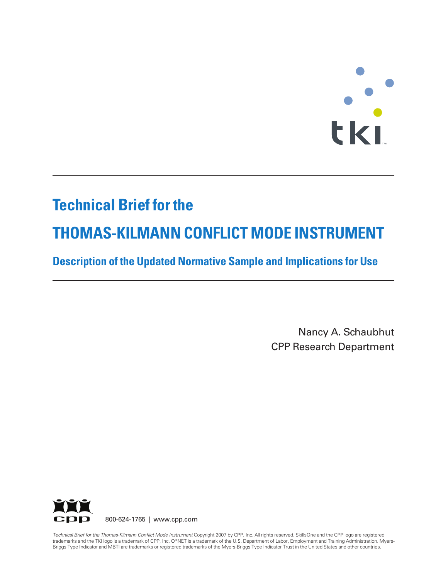# $\ddot{\cdot}$ **T M**

# **Technical Brief for the**

# **THOMAS-KILMANN CONFLICT MODE INSTRUMENT**

# **Description of the Updated Normative Sample and Implications for Use**

Nancy A. Schaubhut CPP Research Department



800-624-1765 | www.cpp.com

*Technical Brief for the Thomas-Kilmann Conflict Mode Instrument* Copyright 2007 by CPP, Inc. All rights reserved. SkillsOne and the CPP logo are registered trademarks and the TKI logo is a trademark of CPP, Inc. O\*NET is a trademark of the U.S. Department of Labor, Employment and Training Administration. Myers-Briggs Type Indicator and MBTI are trademarks or registered trademarks of the Myers-Briggs Type Indicator Trust in the United States and other countries.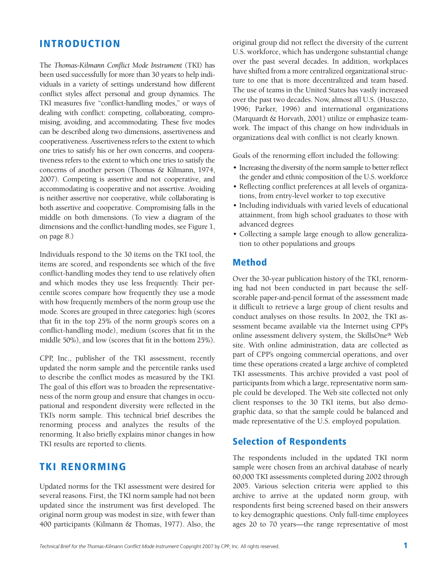## **INTRODUCTION**

The *Thomas-Kilmann Conflict Mode Instrument* (TKI) has been used successfully for more than 30 years to help individuals in a variety of settings understand how different conflict styles affect personal and group dynamics. The TKI measures five "conflict-handling modes," or ways of dealing with conflict: competing, collaborating, compromising, avoiding, and accommodating. These five modes can be described along two dimensions, assertiveness and cooperativeness. Assertiveness refers to the extent to which one tries to satisfy his or her own concerns, and cooperativeness refers to the extent to which one tries to satisfy the concerns of another person (Thomas & Kilmann, 1974, 2007). Competing is assertive and not cooperative, and accommodating is cooperative and not assertive. Avoiding is neither assertive nor cooperative, while collaborating is both assertive and cooperative. Compromising falls in the middle on both dimensions. (To view a diagram of the dimensions and the conflict-handling modes, see Figure 1, on page 8.)

Individuals respond to the 30 items on the TKI tool, the items are scored, and respondents see which of the five conflict-handling modes they tend to use relatively often and which modes they use less frequently. Their percentile scores compare how frequently they use a mode with how frequently members of the norm group use the mode. Scores are grouped in three categories: high (scores that fit in the top 25% of the norm group's scores on a conflict-handling mode), medium (scores that fit in the middle 50%), and low (scores that fit in the bottom 25%).

CPP, Inc., publisher of the TKI assessment, recently updated the norm sample and the percentile ranks used to describe the conflict modes as measured by the TKI. The goal of this effort was to broaden the representativeness of the norm group and ensure that changes in occupational and respondent diversity were reflected in the TKI's norm sample. This technical brief describes the renorming process and analyzes the results of the renorming. It also briefly explains minor changes in how TKI results are reported to clients.

## **TKI RENORMING**

Updated norms for the TKI assessment were desired for several reasons. First, the TKI norm sample had not been updated since the instrument was first developed. The original norm group was modest in size, with fewer than 400 participants (Kilmann & Thomas, 1977). Also, the original group did not reflect the diversity of the current U.S. workforce, which has undergone substantial change over the past several decades. In addition, workplaces have shifted from a more centralized organizational structure to one that is more decentralized and team based. The use of teams in the United States has vastly increased over the past two decades. Now, almost all U.S. (Huszczo, 1996; Parker, 1996) and international organizations (Marquardt & Horvath, 2001) utilize or emphasize teamwork. The impact of this change on how individuals in organizations deal with conflict is not clearly known.

Goals of the renorming effort included the following:

- Increasing the diversity of the norm sample to better reflect the gender and ethnic composition of the U.S. workforce
- Reflecting conflict preferences at all levels of organizations, from entry-level worker to top executive
- Including individuals with varied levels of educational attainment, from high school graduates to those with advanced degrees
- Collecting a sample large enough to allow generalization to other populations and groups

#### **Method**

Over the 30-year publication history of the TKI, renorming had not been conducted in part because the selfscorable paper-and-pencil format of the assessment made it difficult to retrieve a large group of client results and conduct analyses on those results. In 2002, the TKI assessment became available via the Internet using CPP's online assessment delivery system, the SkillsOne® Web site. With online administration, data are collected as part of CPP's ongoing commercial operations, and over time these operations created a large archive of completed TKI assessments. This archive provided a vast pool of participants from which a large, representative norm sample could be developed. The Web site collected not only client responses to the 30 TKI items, but also demographic data, so that the sample could be balanced and made representative of the U.S. employed population.

#### **Selection of Respondents**

The respondents included in the updated TKI norm sample were chosen from an archival database of nearly 60,000 TKI assessments completed during 2002 through 2005. Various selection criteria were applied to this archive to arrive at the updated norm group, with respondents first being screened based on their answers to key demographic questions. Only full-time employees ages 20 to 70 years—the range representative of most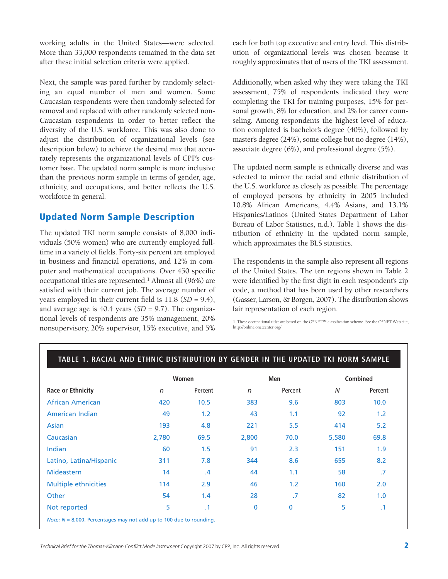working adults in the United States—were selected. More than 33,000 respondents remained in the data set after these initial selection criteria were applied.

Next, the sample was pared further by randomly selecting an equal number of men and women. Some Caucasian respondents were then randomly selected for removal and replaced with other randomly selected non-Caucasian respondents in order to better reflect the diversity of the U.S. workforce. This was also done to adjust the distribution of organizational levels (see description below) to achieve the desired mix that accurately represents the organizational levels of CPP's customer base. The updated norm sample is more inclusive than the previous norm sample in terms of gender, age, ethnicity, and occupations, and better reflects the U.S. workforce in general.

# **Updated Norm Sample Description**

The updated TKI norm sample consists of 8,000 individuals (50% women) who are currently employed fulltime in a variety of fields. Forty-six percent are employed in business and financial operations, and 12% in computer and mathematical occupations. Over 450 specific occupational titles are represented.1 Almost all (96%) are satisfied with their current job. The average number of years employed in their current field is 11.8 (*SD* = 9.4), and average age is 40.4 years (*SD* = 9.7). The organizational levels of respondents are 35% management, 20% nonsupervisory, 20% supervisor, 15% executive, and 5%

each for both top executive and entry level. This distribution of organizational levels was chosen because it roughly approximates that of users of the TKI assessment.

Additionally, when asked why they were taking the TKI assessment, 75% of respondents indicated they were completing the TKI for training purposes, 15% for personal growth, 8% for education, and 2% for career counseling. Among respondents the highest level of education completed is bachelor's degree (40%), followed by master's degree (24%), some college but no degree (14%), associate degree (6%), and professional degree (5%).

The updated norm sample is ethnically diverse and was selected to mirror the racial and ethnic distribution of the U.S. workforce as closely as possible. The percentage of employed persons by ethnicity in 2005 included 10.8% African Americans, 4.4% Asians, and 13.1% Hispanics/Latinos (United States Department of Labor Bureau of Labor Statistics, n.d.). Table 1 shows the distribution of ethnicity in the updated norm sample, which approximates the BLS statistics.

The respondents in the sample also represent all regions of the United States. The ten regions shown in Table 2 were identified by the first digit in each respondent's zip code, a method that has been used by other researchers (Gasser, Larson, & Borgen, 2007). The distribution shows fair representation of each region.

1. These occupational titles are based on the O\*NET™ classification scheme. See the O\*NET Web site, http://online.onetcenter.org/

|                             |       | Women         |              | Men     | <b>Combined</b> |           |
|-----------------------------|-------|---------------|--------------|---------|-----------------|-----------|
| <b>Race or Ethnicity</b>    | n     | Percent       | $\mathsf{n}$ | Percent | N               | Percent   |
| <b>African American</b>     | 420   | 10.5          | 383          | 9.6     | 803             | 10.0      |
| <b>American Indian</b>      | 49    | 1.2           | 43           | 1.1     | 92              | 1.2       |
| Asian                       | 193   | 4.8           | 221          | 5.5     | 414             | 5.2       |
| Caucasian                   | 2,780 | 69.5          | 2,800        | 70.0    | 5,580           | 69.8      |
| Indian                      | 60    | 1.5           | 91           | 2.3     | 151             | 1.9       |
| Latino, Latina/Hispanic     | 311   | 7.8           | 344          | 8.6     | 655             | 8.2       |
| <b>Mideastern</b>           | 14    | $\mathcal{A}$ | 44           | 1.1     | 58              | .7        |
| <b>Multiple ethnicities</b> | 114   | 2.9           | 46           | 1.2     | 160             | 2.0       |
| Other                       | 54    | 1.4           | 28           | .7      | 82              | 1.0       |
| Not reported                | 5     | $\cdot$ 1     | 0            | 0       | 5               | $\cdot$ 1 |

#### **TABLE 1. RACIAL AND ETHNIC DISTRIBUTION BY GENDER IN THE UPDATED TKI NORM SAMPLE**

*Technical Brief for the Thomas-Kilmann Conflict Mode Instrument Copyright 2007 by CPP, Inc. All rights reserved.* **2**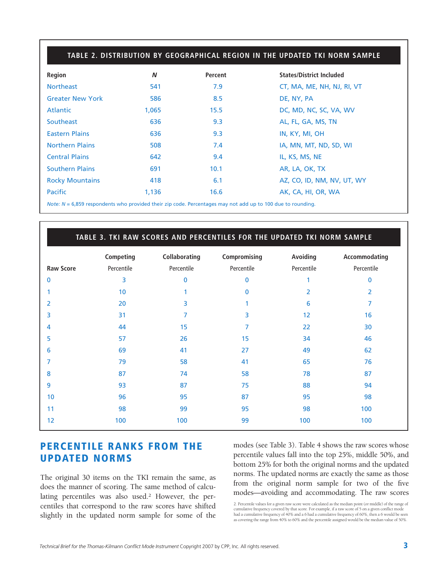| TABLE 2. DISTRIBUTION BY GEOGRAPHICAL REGION IN THE UPDATED TKI NORM SAMPLE |       |         |                                 |  |  |  |  |
|-----------------------------------------------------------------------------|-------|---------|---------------------------------|--|--|--|--|
| Region                                                                      | N     | Percent | <b>States/District Included</b> |  |  |  |  |
| <b>Northeast</b>                                                            | 541   | 7.9     | CT, MA, ME, NH, NJ, RI, VT      |  |  |  |  |
| <b>Greater New York</b>                                                     | 586   | 8.5     | DE, NY, PA                      |  |  |  |  |
| Atlantic                                                                    | 1,065 | 15.5    | DC, MD, NC, SC, VA, WV          |  |  |  |  |
| Southeast                                                                   | 636   | 9.3     | AL, FL, GA, MS, TN              |  |  |  |  |
| <b>Eastern Plains</b>                                                       | 636   | 9.3     | IN, KY, MI, OH                  |  |  |  |  |
| <b>Northern Plains</b>                                                      | 508   | 7.4     | IA, MN, MT, ND, SD, WI          |  |  |  |  |
| <b>Central Plains</b>                                                       | 642   | 9.4     | IL, KS, MS, NE                  |  |  |  |  |
| <b>Southern Plains</b>                                                      | 691   | 10.1    | AR, LA, OK, TX                  |  |  |  |  |
| <b>Rocky Mountains</b>                                                      | 418   | 6.1     | AZ, CO, ID, NM, NV, UT, WY      |  |  |  |  |
| <b>Pacific</b>                                                              | 1,136 | 16.6    | AK, CA, HI, OR, WA              |  |  |  |  |

*Note: N* = 6,859 respondents who provided their zip code. Percentages may not add up to 100 due to rounding.

|                  |            |                      | TABLE 3. TKI RAW SCORES AND PERCENTILES FOR THE UPDATED TKI NORM SAMPLE |            |               |
|------------------|------------|----------------------|-------------------------------------------------------------------------|------------|---------------|
|                  | Competing  | <b>Collaborating</b> | Compromising                                                            | Avoiding   | Accommodating |
| <b>Raw Score</b> | Percentile | Percentile           | Percentile                                                              | Percentile | Percentile    |
| $\Omega$         | 3          | $\Omega$             | 0                                                                       |            | $\Omega$      |
|                  | 10         |                      | 0                                                                       | 2          | 2             |
| 2                | 20         | 3                    |                                                                         | 6          | 7             |
| 3                | 31         | 7                    | 3                                                                       | 12         | 16            |
| 4                | 44         | 15                   |                                                                         | 22         | 30            |
| 5                | 57         | 26                   | 15                                                                      | 34         | 46            |
| 6                | 69         | 41                   | 27                                                                      | 49         | 62            |
|                  | 79         | 58                   | 41                                                                      | 65         | 76            |
| 8                | 87         | 74                   | 58                                                                      | 78         | 87            |
| 9                | 93         | 87                   | 75                                                                      | 88         | 94            |
| 10               | 96         | 95                   | 87                                                                      | 95         | 98            |
| 11               | 98         | 99                   | 95                                                                      | 98         | 100           |
| 12               | 100        | 100                  | 99                                                                      | 100        | 100           |

#### **PERCENTILE RANKS FROM THE UPDATED NORMS**

The original 30 items on the TKI remain the same, as does the manner of scoring. The same method of calculating percentiles was also used.2 However, the percentiles that correspond to the raw scores have shifted slightly in the updated norm sample for some of the modes (see Table 3). Table 4 shows the raw scores whose percentile values fall into the top 25%, middle 50%, and bottom 25% for both the original norms and the updated norms. The updated norms are exactly the same as those from the original norm sample for two of the five modes—avoiding and accommodating. The raw scores

<sup>2.</sup> Percentile values for a given raw score were calculated as the median point (or middle) of the range of cumulative frequency covered by that score. For example, if a raw score of 5 on a given conflict mode<br>had a cumulative frequency of 40% and a 6 had a cumulative frequency of 60%, then a 6 would be seen<br>as covering the rang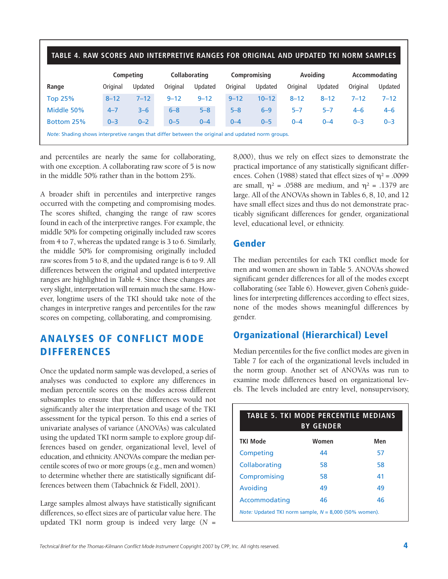| TABLE 4. RAW SCORES AND INTERPRETIVE RANGES FOR ORIGINAL AND UPDATED TKI NORM SAMPLES             |          |                            |          |          |              |           |          |          |               |          |
|---------------------------------------------------------------------------------------------------|----------|----------------------------|----------|----------|--------------|-----------|----------|----------|---------------|----------|
|                                                                                                   |          | Collaborating<br>Competing |          |          | Compromising |           | Avoiding |          | Accommodating |          |
| Range                                                                                             | Original | Updated                    | Original | Updated  | Original     | Updated   | Original | Updated  | Original      | Updated  |
| <b>Top 25%</b>                                                                                    | $8 - 12$ | $7 - 12$                   | $9 - 12$ | $9 - 12$ | $9 - 12$     | $10 - 12$ | $8 - 12$ | $8 - 12$ | $7 - 12$      | $7 - 12$ |
| Middle 50%                                                                                        | $4 - 7$  | $3 - 6$                    | $6 - 8$  | $5 - 8$  | $5 - 8$      | $6 - 9$   | $5 - 7$  | $5 - 7$  | $4 - 6$       | $4 - 6$  |
| Bottom 25%                                                                                        | $0 - 3$  | $0 - 2$                    | $0 - 5$  | $0 - 4$  | $0 - 4$      | $0 - 5$   | $0 - 4$  | $0 - 4$  | $0 - 3$       | $0 - 3$  |
| Note: Shading shows interpretive ranges that differ between the original and updated norm groups. |          |                            |          |          |              |           |          |          |               |          |

and percentiles are nearly the same for collaborating, with one exception. A collaborating raw score of 5 is now in the middle 50% rather than in the bottom 25%.

A broader shift in percentiles and interpretive ranges occurred with the competing and compromising modes. The scores shifted, changing the range of raw scores found in each of the interpretive ranges. For example, the middle 50% for competing originally included raw scores from 4 to 7, whereas the updated range is 3 to 6. Similarly, the middle 50% for compromising originally included raw scores from 5 to 8, and the updated range is 6 to 9. All differences between the original and updated interpretive ranges are highlighted in Table 4. Since these changes are very slight, interpretation will remain much the same. However, longtime users of the TKI should take note of the changes in interpretive ranges and percentiles for the raw scores on competing, collaborating, and compromising.

# **ANALYSES OF CONFLICT MODE DIFFERENCES**

Once the updated norm sample was developed, a series of analyses was conducted to explore any differences in median percentile scores on the modes across different subsamples to ensure that these differences would not significantly alter the interpretation and usage of the TKI assessment for the typical person. To this end a series of univariate analyses of variance (ANOVAs) was calculated using the updated TKI norm sample to explore group differences based on gender, organizational level, level of education, and ethnicity. ANOVAs compare the median percentile scores of two or more groups (e.g., men and women) to determine whether there are statistically significant differences between them (Tabachnick & Fidell, 2001).

Large samples almost always have statistically significant differences, so effect sizes are of particular value here. The updated TKI norm group is indeed very large (*N* =

8,000), thus we rely on effect sizes to demonstrate the practical importance of any statistically significant differences. Cohen (1988) stated that effect sizes of  $\eta^2$  = .0099 are small,  $\eta^2$  = .0588 are medium, and  $\eta^2$  = .1379 are large. All of the ANOVAs shown in Tables 6, 8, 10, and 12 have small effect sizes and thus do not demonstrate practicably significant differences for gender, organizational level, educational level, or ethnicity.

#### **Gender**

The median percentiles for each TKI conflict mode for men and women are shown in Table 5. ANOVAs showed significant gender differences for all of the modes except collaborating (see Table 6). However, given Cohen's guidelines for interpreting differences according to effect sizes, none of the modes shows meaningful differences by gender.

# **Organizational (Hierarchical) Level**

Median percentiles for the five conflict modes are given in Table 7 for each of the organizational levels included in the norm group. Another set of ANOVAs was run to examine mode differences based on organizational levels. The levels included are entry level, nonsupervisory,

| <b>TABLE 5. TKI MODE PERCENTILE MEDIANS</b><br><b>BY GENDER</b> |       |     |  |  |  |  |  |
|-----------------------------------------------------------------|-------|-----|--|--|--|--|--|
| <b>TKI Mode</b>                                                 | Women | Men |  |  |  |  |  |
| Competing                                                       | 44    | 57  |  |  |  |  |  |
| Collaborating                                                   | 58    | 58  |  |  |  |  |  |
| Compromising                                                    | 58    | 41  |  |  |  |  |  |
| Avoiding                                                        | 49    | 49  |  |  |  |  |  |
| Accommodating                                                   | 46    | 46  |  |  |  |  |  |
| <i>Note:</i> Updated TKI norm sample, $N = 8,000$ (50% women).  |       |     |  |  |  |  |  |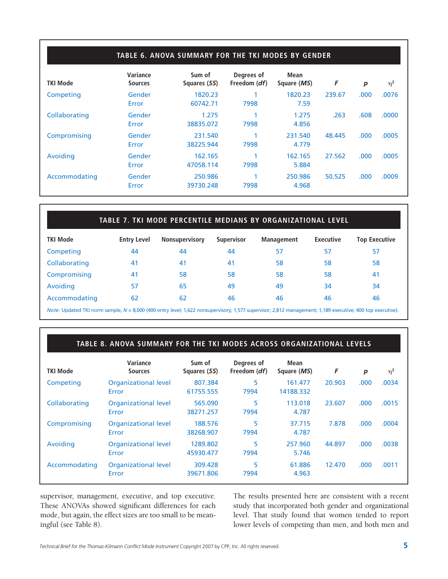#### **TABLE 6. ANOVA SUMMARY FOR THE TKI MODES BY GENDER**

| <b>TKI Mode</b> | Variance<br><b>Sources</b> | Sum of<br>Squares (SS) | Degrees of<br>Freedom ( <i>df</i> ) | Mean<br>Square (MS) | F      | p    | $\eta^2$ |
|-----------------|----------------------------|------------------------|-------------------------------------|---------------------|--------|------|----------|
| Competing       | Gender<br>Error            | 1820.23<br>60742.71    | 7998                                | 1820.23<br>7.59     | 239.67 | .000 | .0076    |
| Collaborating   | Gender<br>Error            | 1.275<br>38835.072     | 7998                                | 1.275<br>4.856      | .263   | .608 | .0000    |
| Compromising    | Gender<br>Error            | 231.540<br>38225.944   | 7998                                | 231.540<br>4.779    | 48.445 | .000 | .0005    |
| Avoiding        | Gender<br>Error            | 162.165<br>47058.114   | 7998                                | 162.165<br>5.884    | 27.562 | .000 | .0005    |
| Accommodating   | Gender<br>Error            | 250.986<br>39730.248   | 7998                                | 250.986<br>4.968    | 50.525 | .000 | .0009    |

#### **TABLE 7. TKI MODE PERCENTILE MEDIANS BY ORGANIZATIONAL LEVEL**

| <b>TKI Mode</b> | <b>Entry Level</b> | <b>Nonsupervisory</b> | <b>Supervisor</b> | <b>Management</b> | <b>Executive</b> | <b>Top Executive</b> |
|-----------------|--------------------|-----------------------|-------------------|-------------------|------------------|----------------------|
| Competing       | 44                 | 44                    | 44                | 57                | 57               | 57                   |
| Collaborating   | 41                 | 41                    | 41                | 58                | 58               | 58                   |
| Compromising    | 41                 | 58                    | 58                | 58                | 58               | 41                   |
| Avoiding        | 57                 | 65                    | 49                | 49                | 34               | 34                   |
| Accommodating   | 62                 | 62                    | 46                | 46                | 46               | 46                   |
|                 |                    |                       |                   |                   |                  |                      |

*Note:* Updated TKI norm sample, *N* = 8,000 (400 entry level; 1,622 nonsupervisory; 1,577 supervisor; 2,812 management; 1,189 executive; 400 top executive).

#### **TABLE 8. ANOVA SUMMARY FOR THE TKI MODES ACROSS ORGANIZATIONAL LEVELS**

| <b>TKI Mode</b> | Variance<br><b>Sources</b>           | Sum of<br>Squares (SS) | Degrees of<br>Freedom ( <i>df</i> ) | Mean<br>Square (MS)  | F      | $\boldsymbol{p}$ | $\eta^2$ |
|-----------------|--------------------------------------|------------------------|-------------------------------------|----------------------|--------|------------------|----------|
| Competing       | <b>Organizational level</b><br>Error | 807.384<br>61755.555   | 5<br>7994                           | 161.477<br>14188.332 | 20.903 | .000             | .0034    |
| Collaborating   | <b>Organizational level</b><br>Error | 565.090<br>38271.257   | 5<br>7994                           | 113.018<br>4.787     | 23.607 | .000             | .0015    |
| Compromising    | <b>Organizational level</b><br>Error | 188.576<br>38268.907   | 5<br>7994                           | 37.715<br>4.787      | 7.878  | .000             | .0004    |
| Avoiding        | <b>Organizational level</b><br>Error | 1289.802<br>45930.477  | 5<br>7994                           | 257.960<br>5.746     | 44.897 | .000             | .0038    |
| Accommodating   | <b>Organizational level</b><br>Error | 309.428<br>39671.806   | 5<br>7994                           | 61.886<br>4.963      | 12.470 | .000             | .0011    |

supervisor, management, executive, and top executive. The results presented here are consistent with a recent These ANOVAs showed significant differences for each study that incorporated both gender and organizational mode, but again, the effect sizes are too small to be mean- level. That study found that women tended to report ingful (see Table 8). lower levels of competing than men, and both men and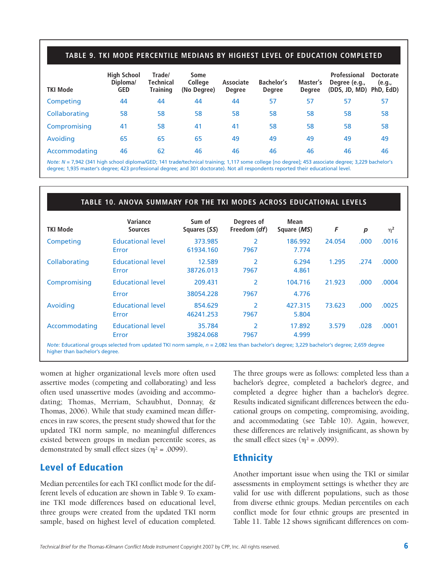#### **TABLE 9. TKI MODE PERCENTILE MEDIANS BY HIGHEST LEVEL OF EDUCATION COMPLETED**

| <b>TKI Mode</b> | <b>High School</b><br>Diploma/<br><b>GED</b> | Trade/<br><b>Technical</b><br><b>Training</b> | Some<br><b>College</b><br>(No Degree) | <b>Associate</b><br><b>Degree</b> | <b>Bachelor's</b><br><b>Degree</b> | Master's<br><b>Dearee</b> | Professional<br>Degree (e.g.,<br>(DDS, JD, MD) PhD, EdD) | <b>Doctorate</b><br>(e.g., |
|-----------------|----------------------------------------------|-----------------------------------------------|---------------------------------------|-----------------------------------|------------------------------------|---------------------------|----------------------------------------------------------|----------------------------|
| Competing       | 44                                           | 44                                            | 44                                    | 44                                | 57                                 | 57                        | 57                                                       | 57                         |
| Collaborating   | 58                                           | 58                                            | 58                                    | 58                                | 58                                 | 58                        | 58                                                       | 58                         |
| Compromising    | 41                                           | 58                                            | 41                                    | 41                                | 58                                 | 58                        | 58                                                       | 58                         |
| Avoiding        | 65                                           | 65                                            | 65                                    | 49                                | 49                                 | 49                        | 49                                                       | 49                         |
| Accommodating   | 46                                           | 62                                            | 46                                    | 46                                | 46                                 | 46                        | 46                                                       | 46                         |

*Note: N* = 7,942 (341 high school diploma/GED; 141 trade/technical training; 1,117 some college [no degree]; 453 associate degree; 3,229 bachelor's degree; 1,935 master's degree; 423 professional degree; and 301 doctorate). Not all respondents reported their educational level.

#### **TABLE 10. ANOVA SUMMARY FOR THE TKI MODES ACROSS EDUCATIONAL LEVELS**

| Variance<br><b>Sources</b>        | Sum of<br>Squares (SS) | Degrees of<br>Freedom (df) | Mean<br>Square (MS) | F      | $\boldsymbol{p}$ | $\eta^2$ |
|-----------------------------------|------------------------|----------------------------|---------------------|--------|------------------|----------|
| <b>Educational level</b><br>Error | 373.985<br>61934.160   | 2<br>7967                  | 186.992<br>7.774    | 24.054 | .000             | .0016    |
| <b>Educational level</b><br>Error | 12.589<br>38726.013    | $\overline{2}$<br>7967     | 6.294<br>4.861      | 1.295  | .274             | .0000    |
| <b>Educational level</b>          | 209.431                | 2                          | 104.716             | 21.923 | .000             | .0004    |
| Error                             | 38054.228              | 7967                       | 4.776               |        |                  |          |
| <b>Educational level</b><br>Error | 854.629<br>46241.253   | 2<br>7967                  | 427.315<br>5.804    | 73.623 | .000             | .0025    |
| <b>Educational level</b><br>Error | 35.784<br>39824.068    | $\overline{2}$<br>7967     | 17.892<br>4.999     | 3.579  | .028             | .0001    |
|                                   |                        |                            |                     |        |                  |          |

higher than bachelor's degree.

women at higher organizational levels more often used assertive modes (competing and collaborating) and less often used unassertive modes (avoiding and accommodating; Thomas, Merriam, Schaubhut, Donnay, & Thomas, 2006). While that study examined mean differences in raw scores, the present study showed that for the updated TKI norm sample, no meaningful differences existed between groups in median percentile scores, as demonstrated by small effect sizes ( $\eta^2$  = .0099).

#### **Level of Education**

Median percentiles for each TKI conflict mode for the different levels of education are shown in Table 9. To examine TKI mode differences based on educational level, three groups were created from the updated TKI norm sample, based on highest level of education completed. The three groups were as follows: completed less than a bachelor's degree, completed a bachelor's degree, and completed a degree higher than a bachelor's degree. Results indicated significant differences between the educational groups on competing, compromising, avoiding, and accommodating (see Table 10). Again, however, these differences are relatively insignificant, as shown by the small effect sizes ( $\eta^2$  = .0099).

## **Ethnicity**

Another important issue when using the TKI or similar assessments in employment settings is whether they are valid for use with different populations, such as those from diverse ethnic groups. Median percentiles on each conflict mode for four ethnic groups are presented in Table 11. Table 12 shows significant differences on com-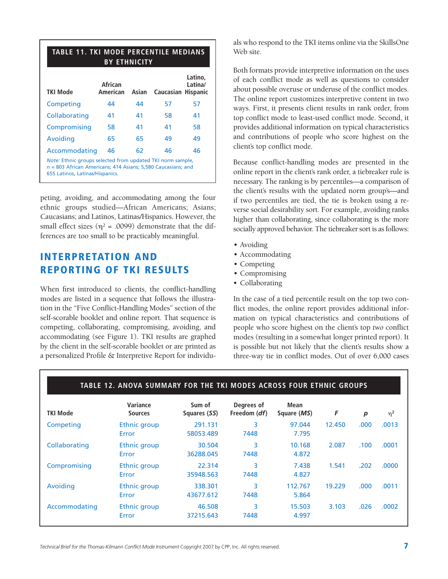| <b>TABLE 11. TKI MODE PERCENTILE MEDIANS</b><br><b>BY ETHNICITY</b>                                                                                             |                            |       |           |                                       |  |  |  |  |
|-----------------------------------------------------------------------------------------------------------------------------------------------------------------|----------------------------|-------|-----------|---------------------------------------|--|--|--|--|
| TKI Mode                                                                                                                                                        | <b>African</b><br>American | Asian | Caucasian | Latino.<br>Latina/<br><b>Hispanic</b> |  |  |  |  |
| Competing                                                                                                                                                       | 44                         | 44    | 57        | 57                                    |  |  |  |  |
| Collaborating                                                                                                                                                   | 41                         | 41    | 58        | 41                                    |  |  |  |  |
| Compromising                                                                                                                                                    | 58                         | 41    | 41        | 58                                    |  |  |  |  |
| Avoiding                                                                                                                                                        | 65                         | 65    | 49        | 49                                    |  |  |  |  |
| Accommodating                                                                                                                                                   | 46                         | 62    | 46        | 46                                    |  |  |  |  |
| Note: Ethnic groups selected from updated TKI norm sample,<br>$n = 803$ African Americans; 414 Asians; 5,580 Caucasians; and<br>655 Latinos, Latinas/Hispanics. |                            |       |           |                                       |  |  |  |  |

peting, avoiding, and accommodating among the four ethnic groups studied—African Americans; Asians; Caucasians; and Latinos, Latinas/Hispanics. However, the small effect sizes ( $\eta^2$  = .0099) demonstrate that the differences are too small to be practicably meaningful.

# **INTERPRETATION AND REPORTING OF TKI RESULTS**

When first introduced to clients, the conflict-handling modes are listed in a sequence that follows the illustration in the "Five Conflict-Handling Modes" section of the self-scorable booklet and online report. That sequence is competing, collaborating, compromising, avoiding, and accommodating (see Figure 1). TKI results are graphed by the client in the self-scorable booklet or are printed as a personalized Profile & Interpretive Report for individuals who respond to the TKI items online via the SkillsOne Web site.

Both formats provide interpretive information on the uses of each conflict mode as well as questions to consider about possible overuse or underuse of the conflict modes. The online report customizes interpretive content in two ways. First, it presents client results in rank order, from top conflict mode to least-used conflict mode. Second, it provides additional information on typical characteristics and contributions of people who score highest on the client's top conflict mode.

Because conflict-handling modes are presented in the online report in the client's rank order, a tiebreaker rule is necessary. The ranking is by percentiles—a comparison of the client's results with the updated norm group's—and if two percentiles are tied, the tie is broken using a reverse social desirability sort. For example, avoiding ranks higher than collaborating, since collaborating is the more socially approved behavior. The tiebreaker sort is as follows:

- Avoiding
- Accommodating
- Competing
- Compromising
- Collaborating

In the case of a tied percentile result on the top two conflict modes, the online report provides additional information on typical characteristics and contributions of people who score highest on the client's top *two* conflict modes (resulting in a somewhat longer printed report). It is possible but not likely that the client's results show a three-way tie in conflict modes. Out of over 6,000 cases

|                 | TABLE 12. ANOVA SUMMARY FOR THE TKI MODES ACROSS FOUR ETHNIC GROUPS |                        |                                     |                     |        |                  |          |  |  |
|-----------------|---------------------------------------------------------------------|------------------------|-------------------------------------|---------------------|--------|------------------|----------|--|--|
| <b>TKI Mode</b> | Variance<br><b>Sources</b>                                          | Sum of<br>Squares (SS) | Degrees of<br>Freedom ( <i>df</i> ) | Mean<br>Square (MS) | F      | $\boldsymbol{p}$ | $\eta^2$ |  |  |
| Competing       | Ethnic group<br>Error                                               | 291.131<br>58053.489   | 3<br>7448                           | 97.044<br>7.795     | 12.450 | .000             | .0013    |  |  |
| Collaborating   | <b>Ethnic group</b><br>Error                                        | 30.504<br>36288.045    | 3<br>7448                           | 10.168<br>4.872     | 2.087  | .100             | .0001    |  |  |
| Compromising    | Ethnic group<br>Error                                               | 22.314<br>35948.563    | 3<br>7448                           | 7.438<br>4.827      | 1.541  | .202             | .0000    |  |  |
| Avoiding        | Ethnic group<br>Error                                               | 338.301<br>43677.612   | 3<br>7448                           | 112.767<br>5.864    | 19.229 | .000             | .0011    |  |  |
| Accommodating   | Ethnic group<br>Error                                               | 46.508<br>37215.643    | 3<br>7448                           | 15.503<br>4.997     | 3.103  | .026             | .0002    |  |  |

*Technical Brief for the Thomas-Kilmann Conflict Mode Instrument* Copyright 2007 by CPP, Inc. All rights reserved. **7**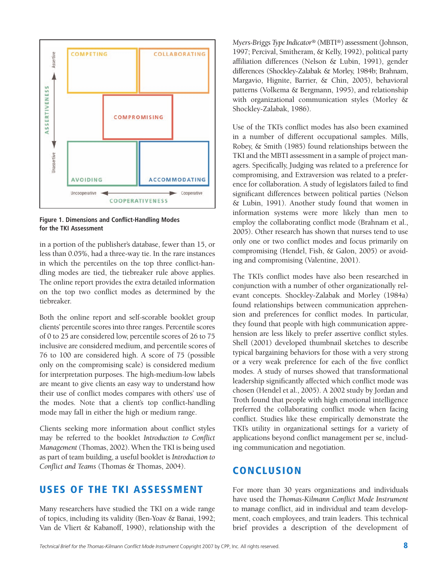

**Figure 1. Dimensions and Conflict-Handling Modes for the TKI Assessment** 

in a portion of the publisher's database, fewer than 15, or less than 0.05%, had a three-way tie. In the rare instances in which the percentiles on the top three conflict-handling modes are tied, the tiebreaker rule above applies. The online report provides the extra detailed information on the top two conflict modes as determined by the tiebreaker.

Both the online report and self-scorable booklet group clients' percentile scores into three ranges. Percentile scores of 0 to 25 are considered low, percentile scores of 26 to 75 inclusive are considered medium, and percentile scores of 76 to 100 are considered high. A score of 75 (possible only on the compromising scale) is considered medium for interpretation purposes. The high-medium-low labels are meant to give clients an easy way to understand how their use of conflict modes compares with others' use of the modes. Note that a client's top conflict-handling mode may fall in either the high or medium range.

Clients seeking more information about conflict styles may be referred to the booklet *Introduction to Conflict Management* (Thomas, 2002). When the TKI is being used as part of team building, a useful booklet is *Introduction to Conflict and Teams* (Thomas & Thomas, 2004).

# **USES OF THE TKI ASSESSMENT**

Many researchers have studied the TKI on a wide range of topics, including its validity (Ben-Yoav & Banai, 1992; Van de Vliert & Kabanoff, 1990), relationship with the

*Myers-Briggs Type Indicator®* (MBTI®) assessment (Johnson, 1997; Percival, Smitheram, & Kelly, 1992), political party affiliation differences (Nelson & Lubin, 1991), gender differences (Shockley-Zalabak & Morley, 1984b; Brahnam, Margavio, Hignite, Barrier, & Chin, 2005), behavioral patterns (Volkema & Bergmann, 1995), and relationship with organizational communication styles (Morley & Shockley-Zalabak, 1986).

Use of the TKI's conflict modes has also been examined in a number of different occupational samples. Mills, Robey, & Smith (1985) found relationships between the TKI and the MBTI assessment in a sample of project managers. Specifically, Judging was related to a preference for compromising, and Extraversion was related to a preference for collaboration. A study of legislators failed to find significant differences between political parties (Nelson & Lubin, 1991). Another study found that women in information systems were more likely than men to employ the collaborating conflict mode (Brahnam et al., 2005). Other research has shown that nurses tend to use only one or two conflict modes and focus primarily on compromising (Hendel, Fish, & Galon, 2005) or avoiding and compromising (Valentine, 2001).

The TKI's conflict modes have also been researched in conjunction with a number of other organizationally relevant concepts. Shockley-Zalabak and Morley (1984a) found relationships between communication apprehension and preferences for conflict modes. In particular, they found that people with high communication apprehension are less likely to prefer assertive conflict styles. Shell (2001) developed thumbnail sketches to describe typical bargaining behaviors for those with a very strong or a very weak preference for each of the five conflict modes. A study of nurses showed that transformational leadership significantly affected which conflict mode was chosen (Hendel et al., 2005). A 2002 study by Jordan and Troth found that people with high emotional intelligence preferred the collaborating conflict mode when facing conflict. Studies like these empirically demonstrate the TKI's utility in organizational settings for a variety of applications beyond conflict management per se, including communication and negotiation.

## **CONCLUSION**

For more than 30 years organizations and individuals have used the *Thomas-Kilmann Conflict Mode Instrument*  to manage conflict, aid in individual and team development, coach employees, and train leaders. This technical brief provides a description of the development of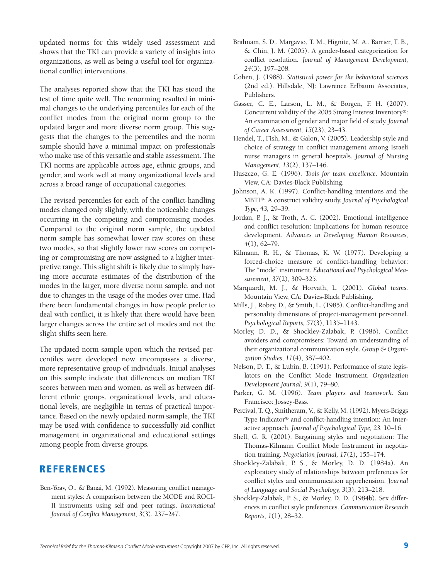updated norms for this widely used assessment and shows that the TKI can provide a variety of insights into organizations, as well as being a useful tool for organizational conflict interventions.

The analyses reported show that the TKI has stood the test of time quite well. The renorming resulted in minimal changes to the underlying percentiles for each of the conflict modes from the original norm group to the updated larger and more diverse norm group. This suggests that the changes to the percentiles and the norm sample should have a minimal impact on professionals who make use of this versatile and stable assessment. The TKI norms are applicable across age, ethnic groups, and gender, and work well at many organizational levels and across a broad range of occupational categories.

The revised percentiles for each of the conflict-handling modes changed only slightly, with the noticeable changes occurring in the competing and compromising modes. Compared to the original norm sample, the updated norm sample has somewhat lower raw scores on these two modes, so that slightly lower raw scores on competing or compromising are now assigned to a higher interpretive range. This slight shift is likely due to simply having more accurate estimates of the distribution of the modes in the larger, more diverse norm sample, and not due to changes in the usage of the modes over time. Had there been fundamental changes in how people prefer to deal with conflict, it is likely that there would have been larger changes across the entire set of modes and not the slight shifts seen here.

The updated norm sample upon which the revised percentiles were developed now encompasses a diverse, more representative group of individuals. Initial analyses on this sample indicate that differences on median TKI scores between men and women, as well as between different ethnic groups, organizational levels, and educational levels, are negligible in terms of practical importance. Based on the newly updated norm sample, the TKI may be used with confidence to successfully aid conflict management in organizational and educational settings among people from diverse groups.

# **REFERENCES**

Ben-Yoav, O., & Banai, M. (1992). Measuring conflict management styles: A comparison between the MODE and ROCI-II instruments using self and peer ratings. *International Journal of Conflict Management, 3*(3), 237–247.

- Brahnam, S. D., Margavio, T. M., Hignite, M. A., Barrier, T. B., & Chin, J. M. (2005). A gender-based categorization for conflict resolution. *Journal of Management Development, 24*(3), 197–208.
- Cohen, J. (1988). *Statistical power for the behavioral sciences*  (2nd ed.). Hillsdale, NJ: Lawrence Erlbaum Associates, Publishers.
- Gasser, C. E., Larson, L. M., & Borgen, F. H. (2007). Concurrent validity of the 2005 Strong Interest Inventory®: An examination of gender and major field of study. *Journal of Career Assessment, 15*(23), 23–43.
- Hendel, T., Fish, M., & Galon, V. (2005). Leadership style and choice of strategy in conflict management among Israeli nurse managers in general hospitals. *Journal of Nursing Management, 13*(2), 137–146.
- Huszczo, G. E. (1996). *Tools for team excellence.* Mountain View, CA: Davies-Black Publishing.
- Johnson, A. K. (1997). Conflict-handling intentions and the MBTI®: A construct validity study. *Journal of Psychological Type, 43,* 29–39.
- Jordan, P. J., & Troth, A. C. (2002). Emotional intelligence and conflict resolution: Implications for human resource development. A*dvances in Developing Human Resources, 4*(1), 62–79.
- Kilmann, R. H., & Thomas, K. W. (1977). Developing a forced-choice measure of conflict-handling behavior: The "mode" instrument. *Educational and Psychological Measurement, 37*(2), 309–325.
- Marquardt, M. J., & Horvath, L. (2001). *Global teams.*  Mountain View, CA: Davies-Black Publishing.
- Mills, J., Robey, D., & Smith, L. (1985). Conflict-handling and personality dimensions of project-management personnel. *Psychological Reports, 57*(3), 1135–1143.
- Morley, D. D., & Shockley-Zalabak, P. (1986). Conflict avoiders and compromisers: Toward an understanding of their organizational communication style. *Group & Organization Studies, 11*(4), 387–402.
- Nelson, D. T., & Lubin, B. (1991). Performance of state legislators on the Conflict Mode Instrument. *Organization Development Journal, 9*(1), 79–80.
- Parker, G. M. (1996). *Team players and teamwork.* San Francisco: Jossey-Bass.
- Percival, T. Q., Smitheram, V., & Kelly, M. (1992). Myers-Briggs Type Indicator® and conflict-handling intention: An interactive approach. *Journal of Psychological Type, 23,* 10–16.
- Shell, G. R. (2001). Bargaining styles and negotiation: The Thomas-Kilmann Conflict Mode Instrument in negotiation training. *Negotiation Journal, 17*(2), 155–174.
- Shockley-Zalabak, P. S., & Morley, D. D. (1984a). An exploratory study of relationships between preferences for conflict styles and communication apprehension. J*ournal of Language and Social Psychology, 3*(3), 213–218.
- Shockley-Zalabak, P. S., & Morley, D. D. (1984b). Sex differences in conflict style preferences. *Communication Research Reports, 1*(1), 28–32.